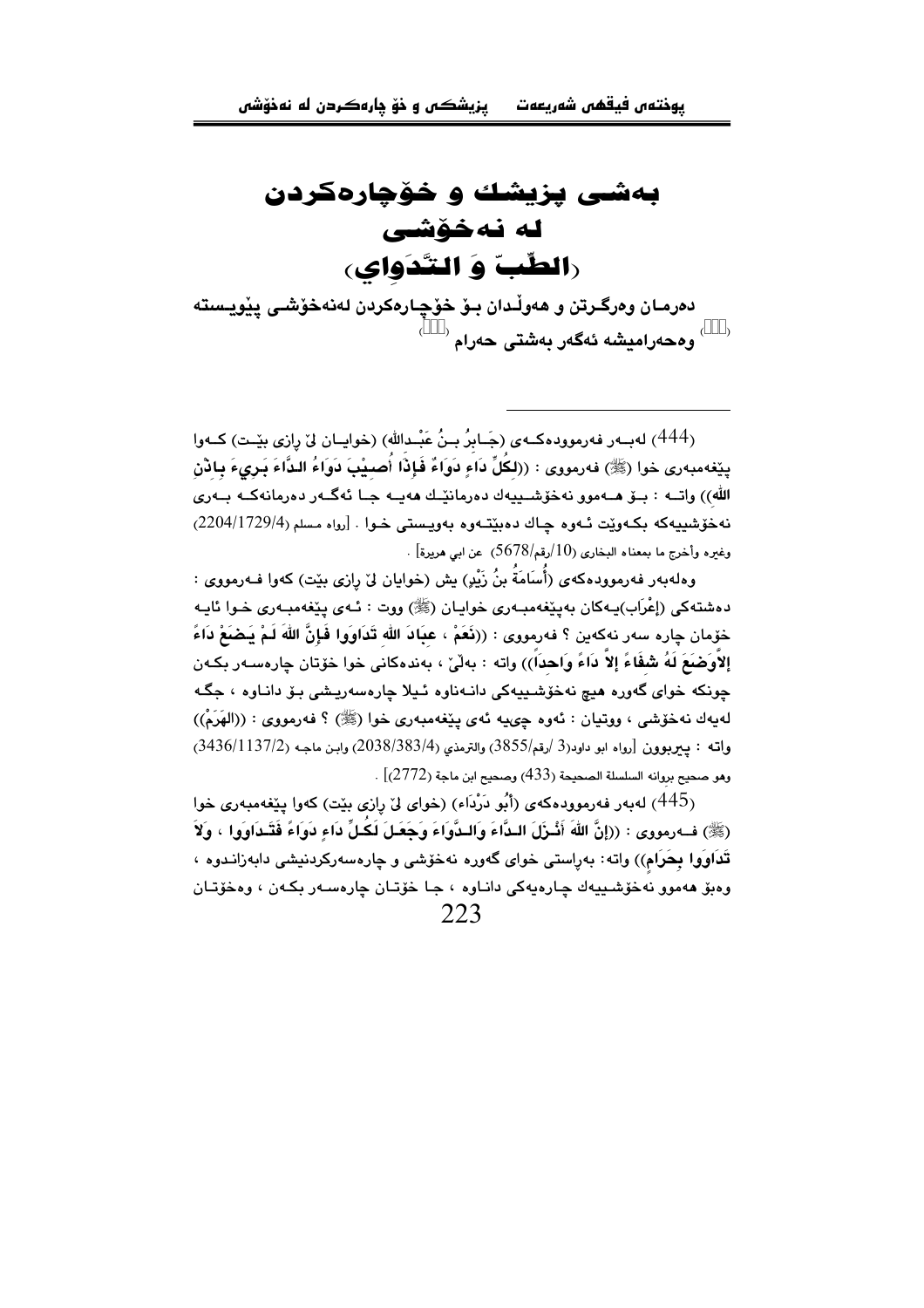بەشى يزيشك و خۆچارەكردن له نهخۆشي **(الطّبّ وَ التّدَواي**)

دەرمـان وەرگـرتن و ھەوڵـدان بـۆ خۆچـارەكردن لەنەخۆشـى پێويـستە <sup>(\$\$\$)</sup> وهجهر**اميشه ئهگهر بهشتي جهرام** <sup>(\$\$\$)</sup>

(444) له به رفه رمووده کے ی (جَابِرُ بِـنُ عَبْـدالله) (خوابـان ليّ رازي بِيّـت) کے وا يێغەمبەرى خوا (ﷺ) فەرمورى : ((لكُلِّ دَاءِ دَوَاءٌ فَإِذَا أُصيبْتَ دَوَاءُ الدَّاءَ بَيرىءَ بِادْنِ الله)) واتــه : بــوّ هــهموو نهخوّشــييهك دەرمانێــك هەيــه جــا ئەگــەر دەرمانەكــه بــەرى نه خۆشىيەكە يكەونت ئەوە جاك دەينتەوە پەويستى خول [رواه مسلم (204/1729/4) وغيره وأخرج ما بمعناه البخاري (10/رقم/5678) عن ابي هريرة] .

وهلەبەر فەرموودەكەي (أُساَمَةُ بنُ زَيْدِ) بش (خوابان لِيْ رازى بِيْت) كەو! فـەرمووي : دهشتهکی (اِعْرَاب)پـهکان بهیێغهمبـهری خوایـان (ﷺ) ووت : ئـهی یێغهمبـهری خـوا ئایـه خَوْمان چاره سەر نەكەين ؟ فەرمووى : ((نَعَمْ ، عبَادَ الله تَدَاوَوا فَإِنَّ اللهَ لَمْ يَضَعْ دَاءً إِلاَّوكَضَعَ لَهُ شَفَّاءً إِلاَّ دَاءً وَاحداً)) واته : بِهلْيٌ ، بِهندهكاني خوا خوّتان چارەسـەر بِكـهن جونکه خوای گەورە ھېچ نەخۆشىيەكى دانىەناوە ئىبلا جارەسەريىشى بىق دانياوە ، جگە لهيهك نهخوشي ، ووتيان : ئهوه چىيه ئهي يێغهمبهري خوا (ﷺ) ؟ فهرمووي : ((الهَرَمْ)) واته : پيرپوون [رواه ابو داود(3 /رقم/3855) والترمذي (383/4/2038) وابن ماجه (3436/1137/2) وهو صحيح بروانه السلسلة الصحيحة (433) وصحيح ابن ماجة (2772) .

(445) لهبهر فهرموودهكهى (أَبُو دَرْدَاء) (خواى ليٌ رِازِي بيِّت) كهوا پِيِّغهمبهري خوا (ﷺ) ف1رمووي : ((إِنَّ اللَّهَ أَشْرَلَ البِدَّاءَ وَالبِدَّوَاءَ وَحَعَيلَ لَكُيلٍّ دَاء دَوَاءً فَتَبِدَاوَوا ، وَلاَ تَذَاوَوا بِحَرَام)) واته: بهراستي خواي گهوره نهخوشي و چارهسهرکردنيشي دابهزانـدوه ، وهبق ههموو نهخوشييهك چارهيهكي داناوه ، جا خوّتان چارهسهر بكهن ، وهخوّتان 223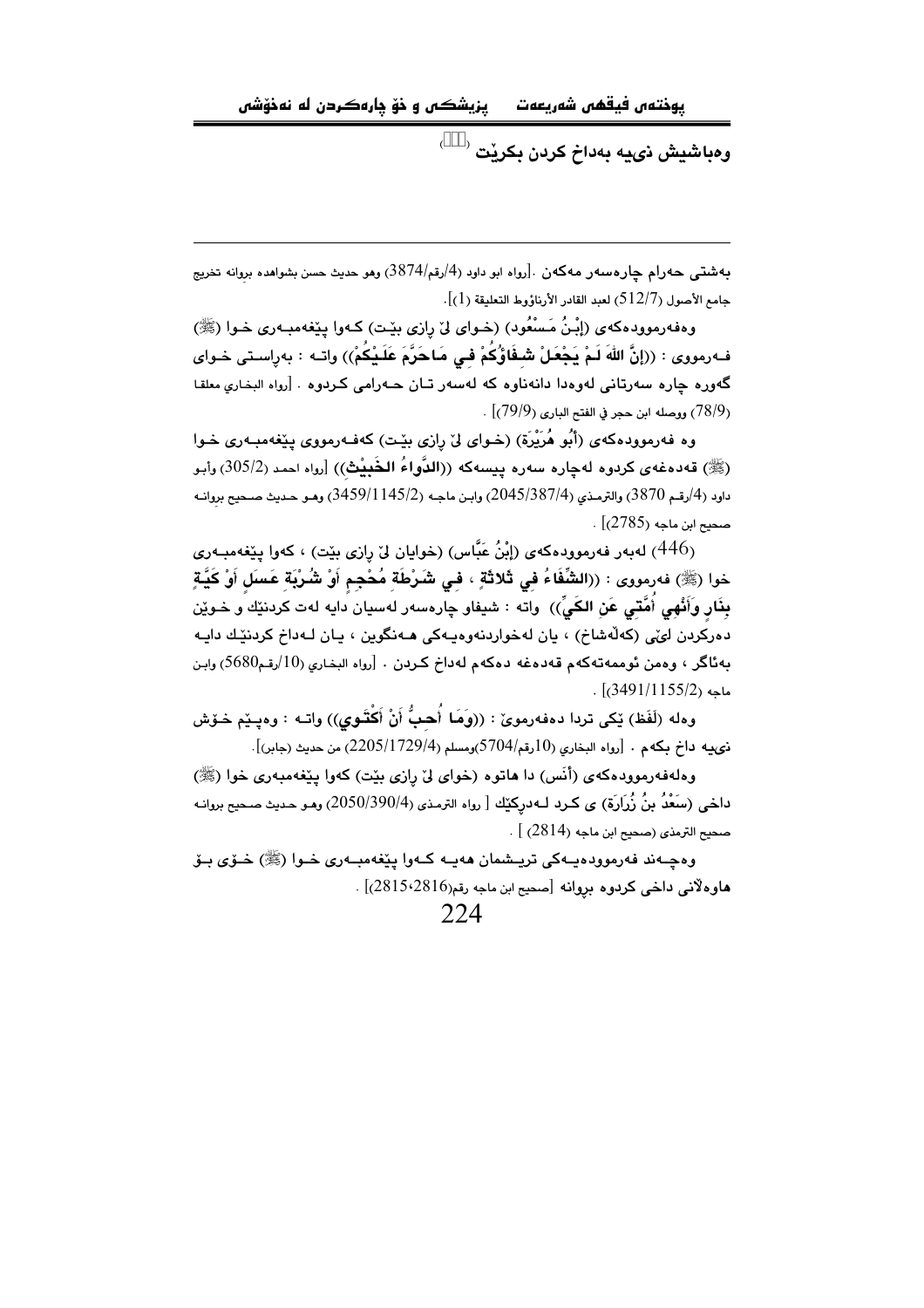يزيشكس و خۆ ڍارەكردن له نەخۆشى يوختەں فيقھى شەريعەت

و**هباشيش نىي**ه بەداخ كردن بكرنت <sup>(\$\$</sup>)

بەشتى حەرام چارەسەر مەكەن .[رواە ابو داود (4/رقم/3874) ومو حديث حسن بشواھدە بروانە تخريج جامع الأصول (512/7) لعبد القادر الأرناؤوط التعليقة (1)].

وهفهرموودهکهی (إِبْنُ مَسْعُود) (خوای لیٌ رِازی بیِّت) کـهوا پیِّغهمبـهری خـوا (ﷺ) فـهرمووى : ((إنَّ اللهَ لَمْ يَجْعَلْ شَـفَاوُّكُمْ فـى مَاحَرَّمَ عَلَـيْكُمْ)) واتـه : بهراسـتى خـواى گەورە چارە سەرتانى لەوەدا دانەناوە كە لەسەر تـان ھـەرامى كـردوە . [رواه البخارى معلقا . (78/9) ووصله ابن حجر في الفتح الباري (79/9) .

وه فەرموودەكەي (أَبُو هُرَيْرَة) (خـواي ليْ رازي بيّـت) كەفـەرمووي بيێغەمبـەري خـوا (ﷺ) قەدەغەي كردوە لەچارە سەرە يېسەكە ((الدُّواءُ الخُبيْث)) [رواه احمد (305/2) وأبو داود (4/رقم 3870) والترمذي (2045/387/4) وابـن ماجـه (3459/1145/2) وهـو حـديث صـحيح بروانـه . صحيح ابن ماجه (2785)]

(446) لەبەر فەرموودەكەي (إِبْنُ عَبَّاس) (خوايان لِيْ رازى بِيْت) ، كەوا يِيْغەمبـەرى خوا (ﷺ) فەرمووى : ((الشَّفَاءُ فى ثَلاثَةٍ ، فى شَرْطَة مُحْجِم أَوْ شُرْبَة عَسَل أَوْ كَيَّةٍ بِذَارٍ وَأَنْهِي أُمَّتِي عَنِ الكَيِّ)) واته : شيفاو چارەسەر لەسپان دايه لەت كردنێك و خـوێن دهرکردن لونی (کهلّهشاخ) ، يان لهخواردنهوهيهکی هـهنگوين ، يـان لـهداخ کردنێك دايـه بِهِئاگر ، وهمن ئوممهتهكهم قهدهغه دهكهم لهداخ كردن . [رواه البخاري (10/رقم5680) وابن  $. [c3491/1155/2]$ .

وهله (لَفَظ) ڀُکي تردا دهفهرموئ : ((وَهَا أُهبُّ أَنْ أَكْتَنُوي)) واتـه : وهيــيّم حْـوّش  $[0, 2205/1729/4)$ ، نوعيه داخ بكهم . [رواه البخاري (10رقم/5704)ومسلم (2 $205/1729/4$ )، من حديث (جابر)

وهلهفهرموودهکهی (أنَس) دا هاتوه (خوای لیّ رازی بیّت) کهوا پیّغهمبهری خوا (ﷺ) داخی (سَعْدُ بنُ زُرَارَة) ی کرد لـهدرکیِّك [ رواه الترمذی (4/2050/390) وهـو حدیث صـحیح بروانـه صحيح الترمذي (صحيح ابن ماجه (2814) ] .

وهجـهند فهرموودهبـهکي تريــشمان ههبـه کـهوا بيٽغهمبـهري خـوا (ﷺ) خـۆي بـۆ هاوه لأني داخي كردوه بروانه [صحيح ابن ماجه رقم(2815،2816)] .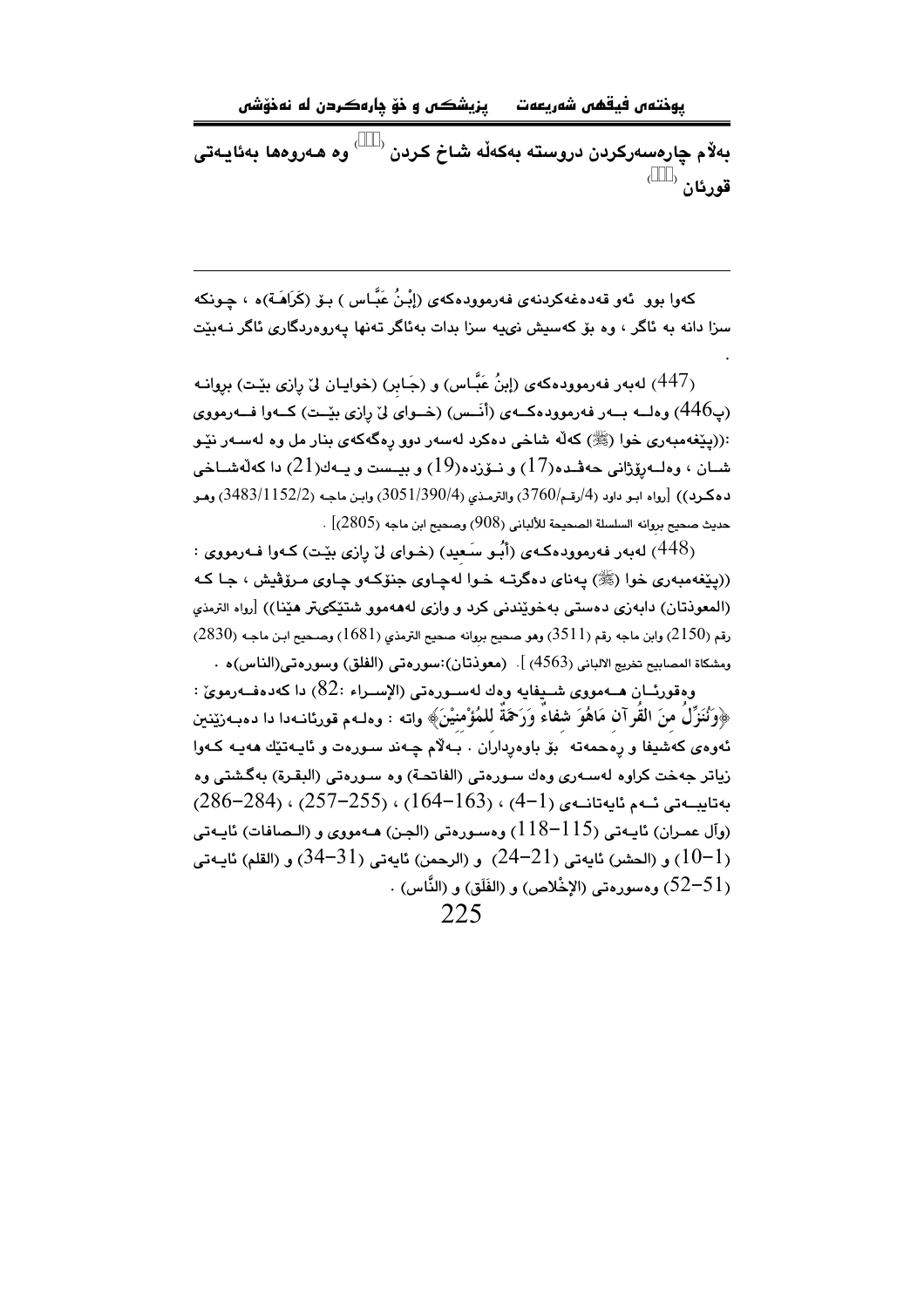يزيشكس و خۆ چارەكردن له نەخۆشى يوختەں فيقھى شەريعەت

بەلام چارەسەركردن دروستە بەكەڵە شاخ كردن <sup>358)</sup> وە ھەروەھا بەئايـەتى قورئان <sup>(\$\$\$)</sup>

کەوا بوو. ئەو قەدەغەکردنەي فەرموودەکەي (إِبْنُ عَبَّاس ) بىۆ (كَرَاهَـة)ە ، چـونکە سزا دانه به ئاگر ، وه بۆ كەسپش نىيە سزا بدات بەئاگر تەنھا يەروەردگارى ئاگر نــەبێت

(447) لهبهر فهرموودهکهی (إبنُ عَبَّاس) و (جَابر) (خوایان لیٌ رِازی بیِّت) برِوانـه (پ446) وهلــه بــهر فهرموودهكــهى (أنَــس) (خــواى ليّ رازى بيّــت) كــهوا فــهرمووى :((پێغەمبەرى خوا (ﷺ) كەلە شاخى دەكرد لەسەر دور رەگەكەي بنار مل وە لەسـەر نێـو شـان ، وەلــەرۆژانى حەڧـدە(17) و نــۆزدە(19) و بيــست و پــەك(21) دا كەڵەشــاخى دهكرد)) [رواه ابـو داود (4/رقـم/3760) والترمـذي (3/051/390/4) وابـن ماجـه (3483/1152/2) وهـو حديث صحيح بروانه السلسلة الصحيحة للألباني (908) وصحيح ابن ماجه (2805)] .

(448) لەبەر فەرموودەكمەي (أَبُو سَعيد) (خواي لِيْ رازى بِيْت) كـەوا فـەرمووي : ((پٽغهمبوري خوا (ﷺ) پوناي دوگرتيو خوا لوچاوي جنوڪو چاوي مروقيش ، جا که (المعوذتان) دابهزی دهستی بهخویندنی کرد و وازی لهههموو شتیکی تر هیننا)) [رواه الترمذی رقم (2150) وابن ماجه رقم (3511) وهو صحيح بروانه صحيح الترمذي (1681) وصـحيح ابـن ماجـه (2830) ومشكاة المصابيح تخريج الالباني (4563) ]. (معوذتان):سورەتى (الفلق) وسورەتى(الناس)ە .

وەقورئــان ھـــەمووى شـــيفايە وەك لەســورەتى (الإســراء :82) دا كەدەفــەرموىّ : ﴿وَنُنَزِّلَ منَ القُرآنِ مَاهُوَ شفاءً وَرَحْمَةً للمُؤْمِنِينَ﴾ واته : وهلـهم قورنانـهدا دا دهبـهزێنين ئەوەي كەشيفا و رەحمەتە ٌ بۆ باوەرداران . بەلام چـەند سـورەت و ئايـەتێك ھەيـە كـەوا .<br>زياتر جهخت كراوه لهسـهري وهك سـورهتي (الفاتحـة) وه سـورهتي (البـقـرة) بهگـشتي وه  $(286-284)$   $(257-255)$   $(164-163)$   $(4-1)$   $(296-284)$   $(257-255)$   $(164-163)$   $(4-1)$   $(25-284)$ (وآل عمـران) نايـهتي (115–118) وهسـورهتي (الجـن) هـهمووي و (الـصافات) نايـهتي ر (10-1)) و (الحشر) ئابەتى (21-24) و (الرحمن) ئابەتى (31-34) و (القلم) ئابىەتى ( ، (52–52) ومسورهتي (الإخْلاص) و (الفَلَق) و (النَّاس) .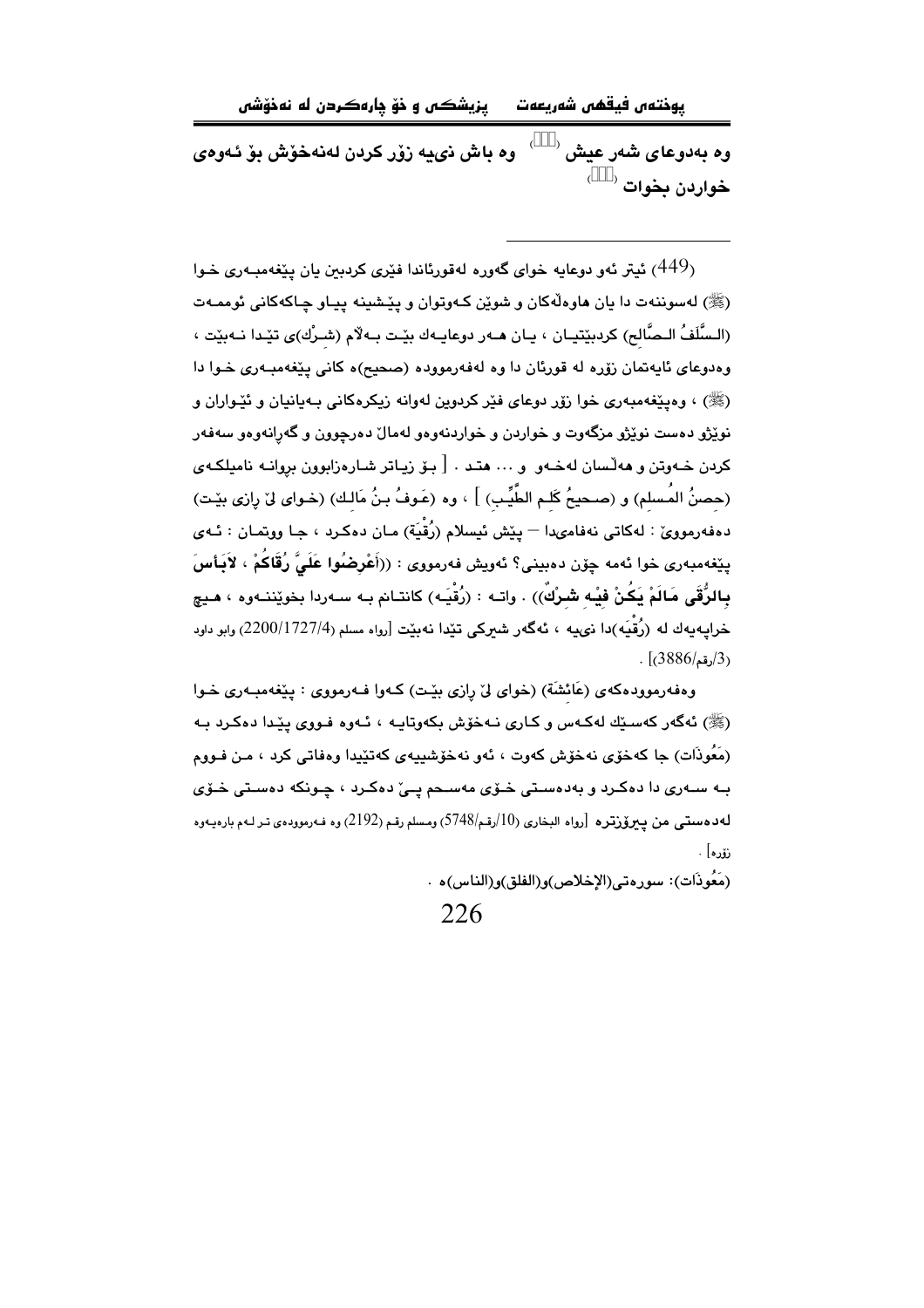يزيشڪس و خۆ چارەكردن له نەخۆشى يوختەں فيقھى شەريعەت

وه بەدوعاى شەر عيش <sup>(\$\$\$)</sup> وه باش ذيبه زوّر كردن لەنەخوش بوّ ئەوەي خواردن بخوات <sup>(\$\$\$)</sup>

ر 449) ئيتر ئەو دوعايە خواي گەورە لەقورئاندا فێرى كردېىن يان يێغەمبـەرى خـوا $\left(449\right)$ (ﷺ) لهسوننهت دا يان هاوهڵهکان و شوێن کـهوټوان و پێشينه پيـاو چـاکهکاني ئوممـهت (السَّلَفُ الـصَّالح) كرديٽتيـان ، بـان هـهر دوعابـهك بٽـت بـهلام (شـرك)ي تٽِـدا نـهيٽت ، وودوعای ئابوتمان زوّره له قورِئان دا وه لوفورمووده (صحیح)ه کانی پیّغومیپوری خـوا دا (ﷺ) ، وهينغهمبهري خوا زوّر دوعاي فٽر کردوين لهوانه زيکرهکاني پيهبانيان و ئٽيواران و .<br>نویژو دمست نویژو مزگهوت و خواردن و خواردنهومو لهمال دمرچوون و گهرانهومو سهفهر کردن خـهوتن و هه ِلْسان لهخـهو و … هتـد . [ بـۆ زيـاتر شـارهزابوون بروانـه ناميلکـهى (حصنُ المُسلم) و (صحيحُ كَلـم الطَّيِّب) ] ، وه (عَـوفُ بـنُ مَالـك) (خـواى ليّ رِازى بيّـت) دهفهرموويٰ : لهكاتي نهفامىدا — پێش ئيسلام (رُقْيَة) مـان دهكـرد ، جـا ووتمـان : ئـهى يێغەمبەرى خوا ئەمە چۆن دەبينى؟ ئەويش فەرمووى : ((أَعْرِضُوا عَلَىَّ رُقَاكُمْ ، لاَبِأسَ بِالرُّقَى مَالَمْ بَكُنْ فَيْه شَرْكٌ)) . واتـه : (رُقْبَـه) كانتـانم بـه سـهردا بخويّننـهوه ، هـيج خرابيه يهك له (رُقْيَه)دا نيميه ، ئهگهر شيركي تَيْدا نهبيّت [رواه مسلم (1727/4/2200) وابو داود  $(3886/\pi)(3)$ 

وهفهرموودهکهي (عَائشَة) (خواي ليّ رازي بِيّت) کـهوا فـهرمووي : يێغهمبـهري خـوا (ﷺ) ئەگەر كەسىيك لەكەس و كارى نىەخۆش بكەوتابىە ، ئىەوە فىووى بېيدا دەكرد بىە (مَعُوذَات) جا كەخۆى نەخۆش كەوت ، ئەو نەخۆشىييەى كەتێيدا وەفاتى كرد ، مـن فـووم .<br>بـه سـهری دا دهکـرد و بهدهسـتی خـوّی مهسـحم یـیّ دهکـرد ، چـونکه دهسـتی خـوّی لەدەستى من يىرۆرترە [رواە البخارى (10/رقم/5748) ومسلم رقم (2192) وە فـەرموودەي تىر لـەم بارەيـەوە نۆرە] .

(مَعُوذَات): سورهتي (الإخلاص)و (الفلق)و (الناس) هـ.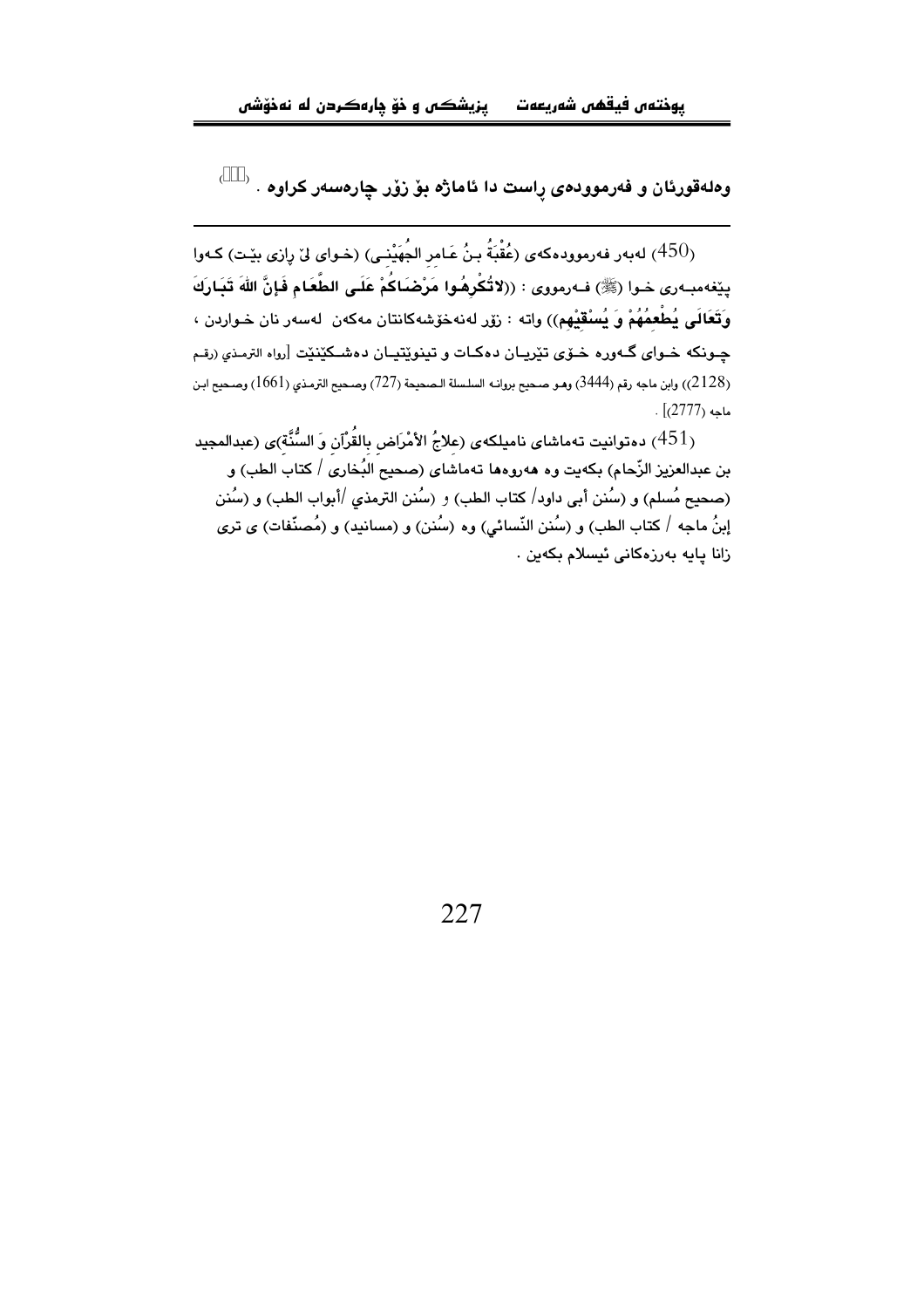$($ \$\$\$ $)$ .<br>وهلهقورئان و فەرموودەی را<mark>ست دا ئاماژه بۆ زۆر چارەس</mark>ەر كراوە

بِهِ اللَّهُ عَامِر اللَّهُ عَبْدَ اللَّهُ اللَّهُ فَقَدْ اللَّهُ اللَّهُ وَ اللَّهُ وَ اللَّهُ وَ الله اللَّه ا بِيِّفه مبـه ري حـوا (ﷺ) فـه رمووي : ((لاتُكْرِهُوا مَرْضَاكُمْ عَلَـى الطَّعَام فَإِنَّ اللهَ تَبَـارَكَ وَتَعَالَى يُطْعِمُهُمْ وَ يُسْقَيْهِم)) واته : زۆر لەنەخۆشەكانتان مەكەن لەسەر نان خـواردن ، جـونکه خـوای گـهوره خــوّی تێریــان دهکـات و تینوێتیـان دهشـکێنێت [رواه الترمذی (رقم (2128)) وابن ماجه رقم (3444) وهو صحيح بروانه السلسلة الـصحيحة (727) وصحيح الترمذي (1661) وصحيح ابـن  $\cdot$  (2777) ماجه

دەتوانيت تەماشاي ناميلكەي (علاجُ الأمْرَاض بالقُرْآن وَ السُّنَّة)ى (عبدالمجيد  $(451)$ بن عبدالعزيز الزَّحام) بكهيت وه ههروهها تهماشاي (صحيح البُخاري / كتاب الطب) و (صحيح مُسلم) و (سُنن أبي داود/ كتاب الطب) و (سُنن الترمذي /أبواب الطب) و (سُنن إبنُ ماجه / كتاب الطب) و (سُنن النّسائی) وه (سُنن) و (مسانید) و (مُصنّفات) ی تری زانا يايه يەرزەكانى ئىسلام يكەين .